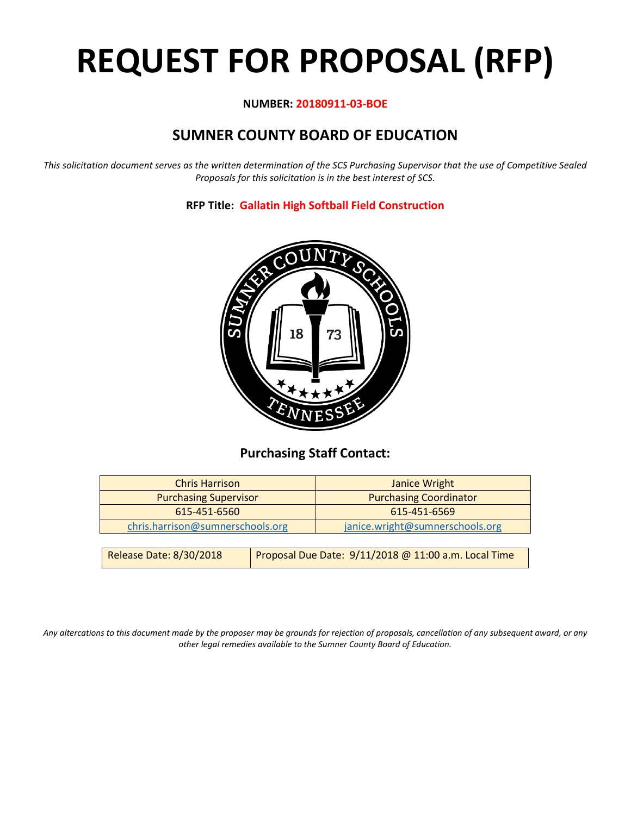# **REQUEST FOR PROPOSAL (RFP)**

#### **NUMBER: 20180911-03-BOE**

## **SUMNER COUNTY BOARD OF EDUCATION**

*This solicitation document serves as the written determination of the SCS Purchasing Supervisor that the use of Competitive Sealed Proposals for this solicitation is in the best interest of SCS.*

#### **RFP Title: Gallatin High Softball Field Construction**



## **Purchasing Staff Contact:**

| <b>Chris Harrison</b>            |  | Janice Wright                                        |
|----------------------------------|--|------------------------------------------------------|
| <b>Purchasing Supervisor</b>     |  | <b>Purchasing Coordinator</b>                        |
| 615-451-6560                     |  | 615-451-6569                                         |
| chris.harrison@sumnerschools.org |  | janice.wright@sumnerschools.org                      |
|                                  |  |                                                      |
| <b>Release Date: 8/30/2018</b>   |  | Proposal Due Date: 9/11/2018 @ 11:00 a.m. Local Time |

*Any altercations to this document made by the proposer may be grounds for rejection of proposals, cancellation of any subsequent award, or any other legal remedies available to the Sumner County Board of Education.*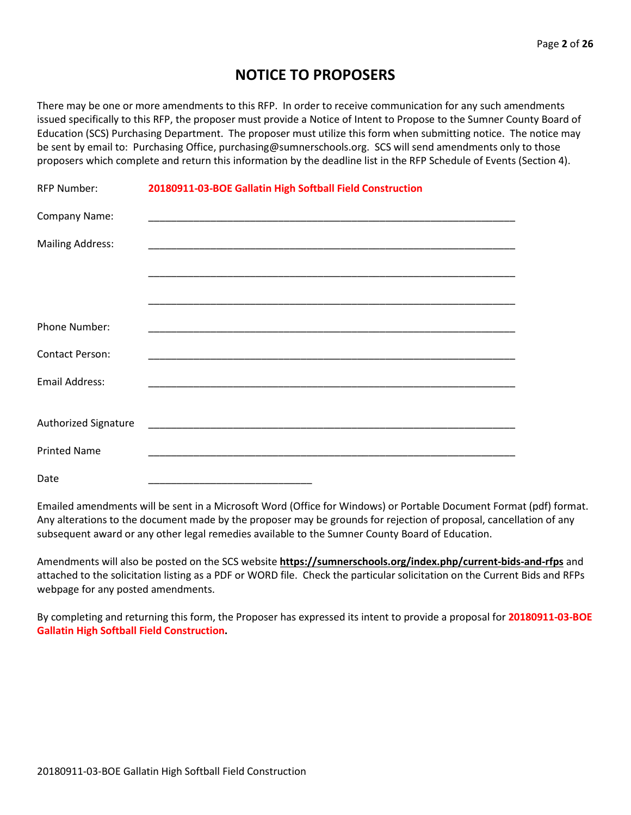## **NOTICE TO PROPOSERS**

There may be one or more amendments to this RFP. In order to receive communication for any such amendments issued specifically to this RFP, the proposer must provide a Notice of Intent to Propose to the Sumner County Board of Education (SCS) Purchasing Department. The proposer must utilize this form when submitting notice. The notice may be sent by email to: Purchasing Office, purchasing@sumnerschools.org. SCS will send amendments only to those proposers which complete and return this information by the deadline list in the RFP Schedule of Events (Section 4).

| <b>RFP Number:</b>      | 20180911-03-BOE Gallatin High Softball Field Construction |
|-------------------------|-----------------------------------------------------------|
| Company Name:           |                                                           |
| <b>Mailing Address:</b> |                                                           |
|                         |                                                           |
|                         |                                                           |
| Phone Number:           |                                                           |
| <b>Contact Person:</b>  |                                                           |
| Email Address:          |                                                           |
|                         |                                                           |
| Authorized Signature    |                                                           |
| <b>Printed Name</b>     |                                                           |
| Date                    |                                                           |

Emailed amendments will be sent in a Microsoft Word (Office for Windows) or Portable Document Format (pdf) format. Any alterations to the document made by the proposer may be grounds for rejection of proposal, cancellation of any subsequent award or any other legal remedies available to the Sumner County Board of Education.

Amendments will also be posted on the SCS website **https://sumnerschools.org/index.php/current-bids-and-rfps** and attached to the solicitation listing as a PDF or WORD file. Check the particular solicitation on the Current Bids and RFPs webpage for any posted amendments.

By completing and returning this form, the Proposer has expressed its intent to provide a proposal for **20180911-03-BOE Gallatin High Softball Field Construction.**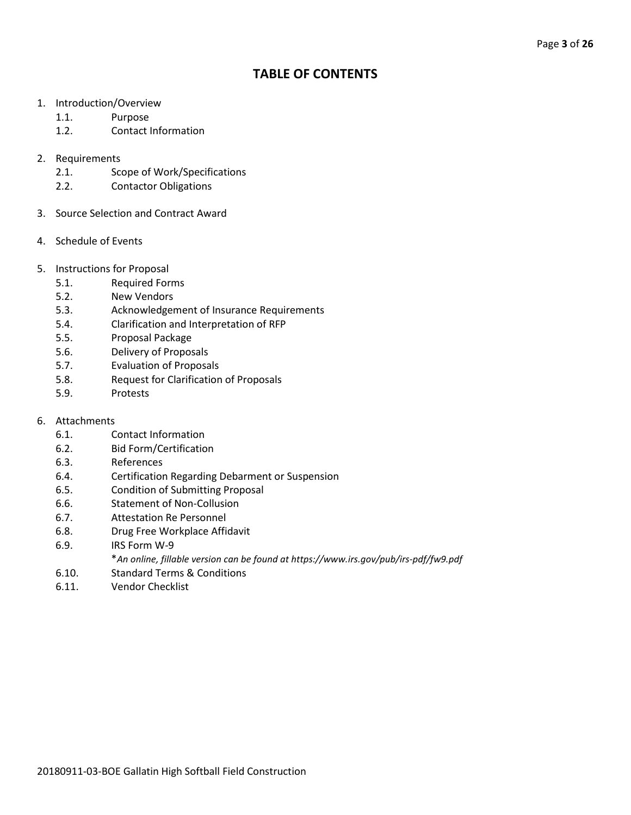## **TABLE OF CONTENTS**

- 1. Introduction/Overview
	- 1.1. Purpose
	- 1.2. Contact Information
- 2. Requirements
	- 2.1. Scope of Work/Specifications
	- 2.2. Contactor Obligations
- 3. Source Selection and Contract Award
- 4. Schedule of Events
- 5. Instructions for Proposal
	- 5.1. Required Forms
	- 5.2. New Vendors
	- 5.3. Acknowledgement of Insurance Requirements
	- 5.4. Clarification and Interpretation of RFP
	- 5.5. Proposal Package
	- 5.6. Delivery of Proposals
	- 5.7. Evaluation of Proposals
	- 5.8. Request for Clarification of Proposals
	- 5.9. Protests
- 6. Attachments
	- 6.1. Contact Information
	- 6.2. Bid Form/Certification
	- 6.3. References
	- 6.4. Certification Regarding Debarment or Suspension
	- 6.5. Condition of Submitting Proposal
	- 6.6. Statement of Non-Collusion
	- 6.7. Attestation Re Personnel
	- 6.8. Drug Free Workplace Affidavit
	- 6.9. IRS Form W-9
		- \**An online, fillable version can be found at https://www.irs.gov/pub/irs-pdf/fw9.pdf*
	- 6.10. Standard Terms & Conditions
	- 6.11. Vendor Checklist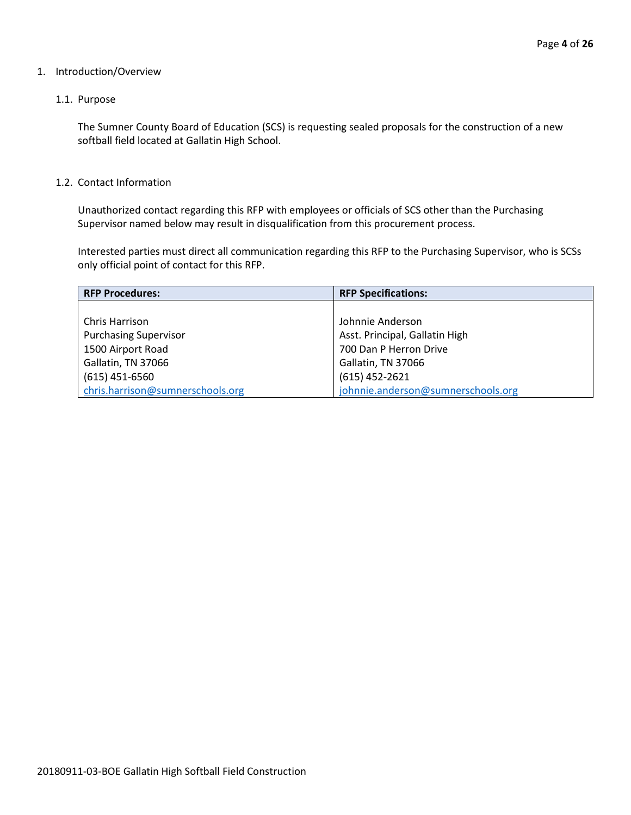#### 1. Introduction/Overview

#### 1.1. Purpose

The Sumner County Board of Education (SCS) is requesting sealed proposals for the construction of a new softball field located at Gallatin High School.

#### 1.2. Contact Information

Unauthorized contact regarding this RFP with employees or officials of SCS other than the Purchasing Supervisor named below may result in disqualification from this procurement process.

Interested parties must direct all communication regarding this RFP to the Purchasing Supervisor, who is SCSs only official point of contact for this RFP.

| <b>RFP Procedures:</b>           | <b>RFP Specifications:</b>         |
|----------------------------------|------------------------------------|
|                                  |                                    |
| Chris Harrison                   | Johnnie Anderson                   |
| <b>Purchasing Supervisor</b>     | Asst. Principal, Gallatin High     |
| 1500 Airport Road                | 700 Dan P Herron Drive             |
| Gallatin, TN 37066               | Gallatin, TN 37066                 |
| $(615)$ 451-6560                 | $(615)$ 452-2621                   |
| chris.harrison@sumnerschools.org | johnnie.anderson@sumnerschools.org |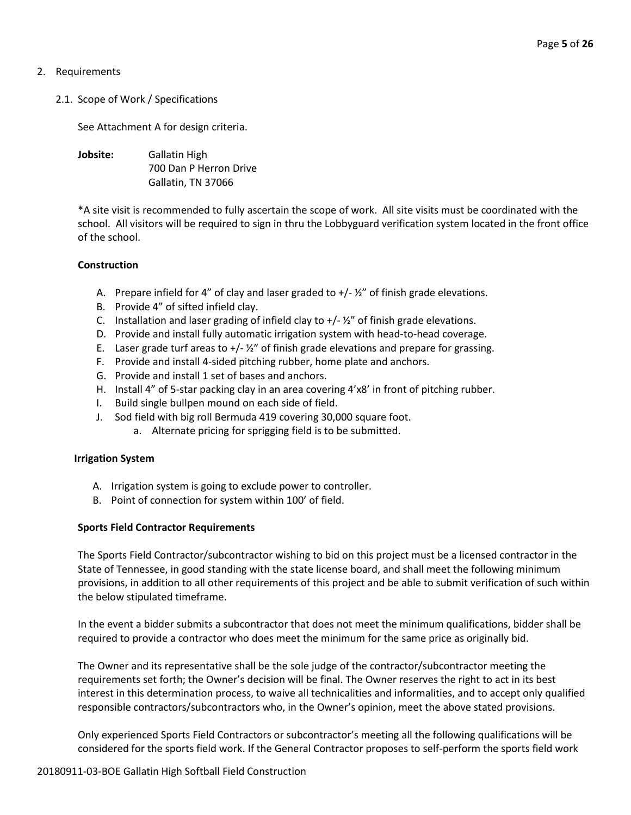#### 2. Requirements

#### 2.1. Scope of Work / Specifications

See Attachment A for design criteria.

**Jobsite:** Gallatin High 700 Dan P Herron Drive Gallatin, TN 37066

\*A site visit is recommended to fully ascertain the scope of work. All site visits must be coordinated with the school. All visitors will be required to sign in thru the Lobbyguard verification system located in the front office of the school.

#### **Construction**

- A. Prepare infield for 4" of clay and laser graded to  $+/ \frac{1}{2}$ " of finish grade elevations.
- B. Provide 4" of sifted infield clay.
- C. Installation and laser grading of infield clay to  $+//2''$  of finish grade elevations.
- D. Provide and install fully automatic irrigation system with head-to-head coverage.
- E. Laser grade turf areas to  $+/-\frac{1}{2}$  of finish grade elevations and prepare for grassing.
- F. Provide and install 4-sided pitching rubber, home plate and anchors.
- G. Provide and install 1 set of bases and anchors.
- H. Install 4" of 5-star packing clay in an area covering 4'x8' in front of pitching rubber.
- I. Build single bullpen mound on each side of field.
- J. Sod field with big roll Bermuda 419 covering 30,000 square foot.
	- a. Alternate pricing for sprigging field is to be submitted.

#### **Irrigation System**

- A. Irrigation system is going to exclude power to controller.
- B. Point of connection for system within 100' of field.

#### **Sports Field Contractor Requirements**

The Sports Field Contractor/subcontractor wishing to bid on this project must be a licensed contractor in the State of Tennessee, in good standing with the state license board, and shall meet the following minimum provisions, in addition to all other requirements of this project and be able to submit verification of such within the below stipulated timeframe.

In the event a bidder submits a subcontractor that does not meet the minimum qualifications, bidder shall be required to provide a contractor who does meet the minimum for the same price as originally bid.

The Owner and its representative shall be the sole judge of the contractor/subcontractor meeting the requirements set forth; the Owner's decision will be final. The Owner reserves the right to act in its best interest in this determination process, to waive all technicalities and informalities, and to accept only qualified responsible contractors/subcontractors who, in the Owner's opinion, meet the above stated provisions.

Only experienced Sports Field Contractors or subcontractor's meeting all the following qualifications will be considered for the sports field work. If the General Contractor proposes to self-perform the sports field work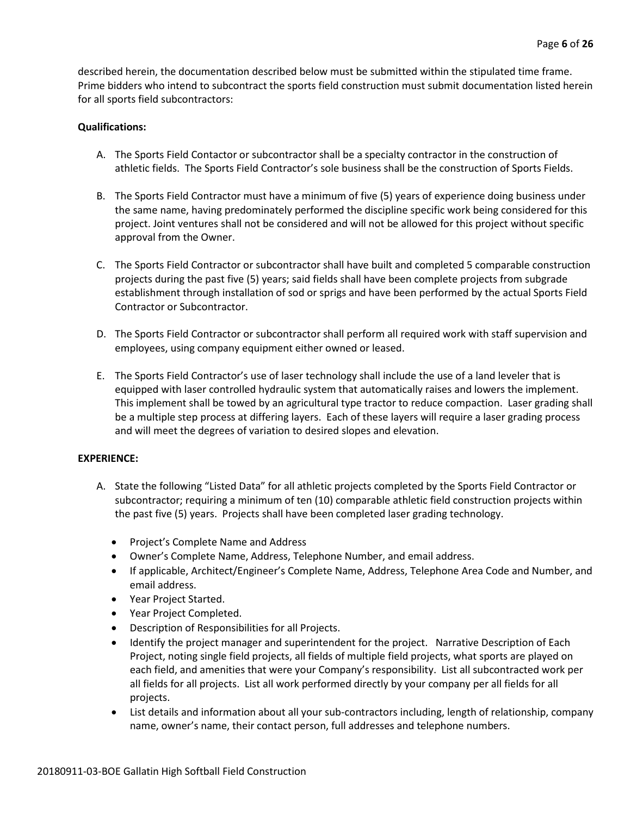described herein, the documentation described below must be submitted within the stipulated time frame. Prime bidders who intend to subcontract the sports field construction must submit documentation listed herein for all sports field subcontractors:

#### **Qualifications:**

- A. The Sports Field Contactor or subcontractor shall be a specialty contractor in the construction of athletic fields. The Sports Field Contractor's sole business shall be the construction of Sports Fields.
- B. The Sports Field Contractor must have a minimum of five (5) years of experience doing business under the same name, having predominately performed the discipline specific work being considered for this project. Joint ventures shall not be considered and will not be allowed for this project without specific approval from the Owner.
- C. The Sports Field Contractor or subcontractor shall have built and completed 5 comparable construction projects during the past five (5) years; said fields shall have been complete projects from subgrade establishment through installation of sod or sprigs and have been performed by the actual Sports Field Contractor or Subcontractor.
- D. The Sports Field Contractor or subcontractor shall perform all required work with staff supervision and employees, using company equipment either owned or leased.
- E. The Sports Field Contractor's use of laser technology shall include the use of a land leveler that is equipped with laser controlled hydraulic system that automatically raises and lowers the implement. This implement shall be towed by an agricultural type tractor to reduce compaction. Laser grading shall be a multiple step process at differing layers. Each of these layers will require a laser grading process and will meet the degrees of variation to desired slopes and elevation.

#### **EXPERIENCE:**

- A. State the following "Listed Data" for all athletic projects completed by the Sports Field Contractor or subcontractor; requiring a minimum of ten (10) comparable athletic field construction projects within the past five (5) years. Projects shall have been completed laser grading technology.
	- Project's Complete Name and Address
	- Owner's Complete Name, Address, Telephone Number, and email address.
	- If applicable, Architect/Engineer's Complete Name, Address, Telephone Area Code and Number, and email address.
	- Year Project Started.
	- Year Project Completed.
	- Description of Responsibilities for all Projects.
	- Identify the project manager and superintendent for the project. Narrative Description of Each Project, noting single field projects, all fields of multiple field projects, what sports are played on each field, and amenities that were your Company's responsibility. List all subcontracted work per all fields for all projects. List all work performed directly by your company per all fields for all projects.
	- List details and information about all your sub-contractors including, length of relationship, company name, owner's name, their contact person, full addresses and telephone numbers.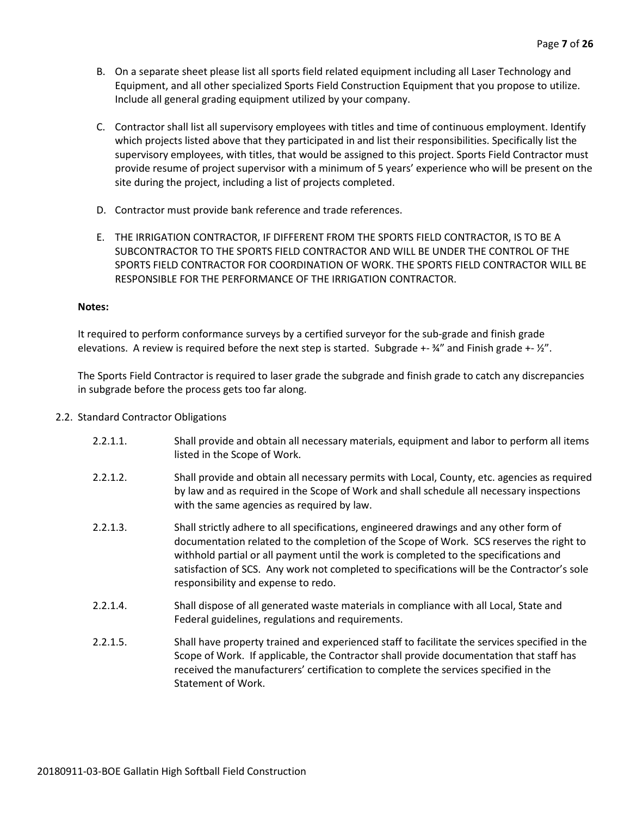- B. On a separate sheet please list all sports field related equipment including all Laser Technology and Equipment, and all other specialized Sports Field Construction Equipment that you propose to utilize. Include all general grading equipment utilized by your company.
- C. Contractor shall list all supervisory employees with titles and time of continuous employment. Identify which projects listed above that they participated in and list their responsibilities. Specifically list the supervisory employees, with titles, that would be assigned to this project. Sports Field Contractor must provide resume of project supervisor with a minimum of 5 years' experience who will be present on the site during the project, including a list of projects completed.
- D. Contractor must provide bank reference and trade references.
- E. THE IRRIGATION CONTRACTOR, IF DIFFERENT FROM THE SPORTS FIELD CONTRACTOR, IS TO BE A SUBCONTRACTOR TO THE SPORTS FIELD CONTRACTOR AND WILL BE UNDER THE CONTROL OF THE SPORTS FIELD CONTRACTOR FOR COORDINATION OF WORK. THE SPORTS FIELD CONTRACTOR WILL BE RESPONSIBLE FOR THE PERFORMANCE OF THE IRRIGATION CONTRACTOR.

#### **Notes:**

It required to perform conformance surveys by a certified surveyor for the sub-grade and finish grade elevations. A review is required before the next step is started. Subgrade +- ¾" and Finish grade +- ½".

The Sports Field Contractor is required to laser grade the subgrade and finish grade to catch any discrepancies in subgrade before the process gets too far along.

- 2.2. Standard Contractor Obligations
	- 2.2.1.1. Shall provide and obtain all necessary materials, equipment and labor to perform all items listed in the Scope of Work.
	- 2.2.1.2. Shall provide and obtain all necessary permits with Local, County, etc. agencies as required by law and as required in the Scope of Work and shall schedule all necessary inspections with the same agencies as required by law.
	- 2.2.1.3. Shall strictly adhere to all specifications, engineered drawings and any other form of documentation related to the completion of the Scope of Work. SCS reserves the right to withhold partial or all payment until the work is completed to the specifications and satisfaction of SCS. Any work not completed to specifications will be the Contractor's sole responsibility and expense to redo.
	- 2.2.1.4. Shall dispose of all generated waste materials in compliance with all Local, State and Federal guidelines, regulations and requirements.
	- 2.2.1.5. Shall have property trained and experienced staff to facilitate the services specified in the Scope of Work. If applicable, the Contractor shall provide documentation that staff has received the manufacturers' certification to complete the services specified in the Statement of Work.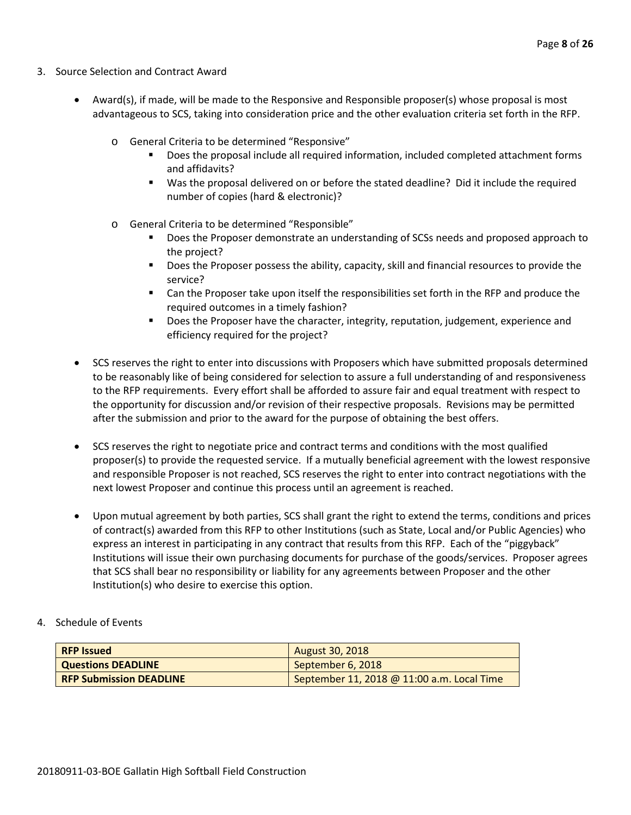- 3. Source Selection and Contract Award
	- Award(s), if made, will be made to the Responsive and Responsible proposer(s) whose proposal is most advantageous to SCS, taking into consideration price and the other evaluation criteria set forth in the RFP.
		- o General Criteria to be determined "Responsive"
			- Does the proposal include all required information, included completed attachment forms and affidavits?
			- Was the proposal delivered on or before the stated deadline? Did it include the required number of copies (hard & electronic)?
		- o General Criteria to be determined "Responsible"
			- Does the Proposer demonstrate an understanding of SCSs needs and proposed approach to the project?
			- **Does the Proposer possess the ability, capacity, skill and financial resources to provide the** service?
			- Can the Proposer take upon itself the responsibilities set forth in the RFP and produce the required outcomes in a timely fashion?
			- **Does the Proposer have the character, integrity, reputation, judgement, experience and** efficiency required for the project?
	- SCS reserves the right to enter into discussions with Proposers which have submitted proposals determined to be reasonably like of being considered for selection to assure a full understanding of and responsiveness to the RFP requirements. Every effort shall be afforded to assure fair and equal treatment with respect to the opportunity for discussion and/or revision of their respective proposals. Revisions may be permitted after the submission and prior to the award for the purpose of obtaining the best offers.
	- SCS reserves the right to negotiate price and contract terms and conditions with the most qualified proposer(s) to provide the requested service. If a mutually beneficial agreement with the lowest responsive and responsible Proposer is not reached, SCS reserves the right to enter into contract negotiations with the next lowest Proposer and continue this process until an agreement is reached.
	- Upon mutual agreement by both parties, SCS shall grant the right to extend the terms, conditions and prices of contract(s) awarded from this RFP to other Institutions (such as State, Local and/or Public Agencies) who express an interest in participating in any contract that results from this RFP. Each of the "piggyback" Institutions will issue their own purchasing documents for purchase of the goods/services. Proposer agrees that SCS shall bear no responsibility or liability for any agreements between Proposer and the other Institution(s) who desire to exercise this option.
- 4. Schedule of Events

| <b>RFP Issued</b>              | <b>August 30, 2018</b>                     |
|--------------------------------|--------------------------------------------|
| <b>Questions DEADLINE</b>      | September 6, 2018                          |
| <b>RFP Submission DEADLINE</b> | September 11, 2018 @ 11:00 a.m. Local Time |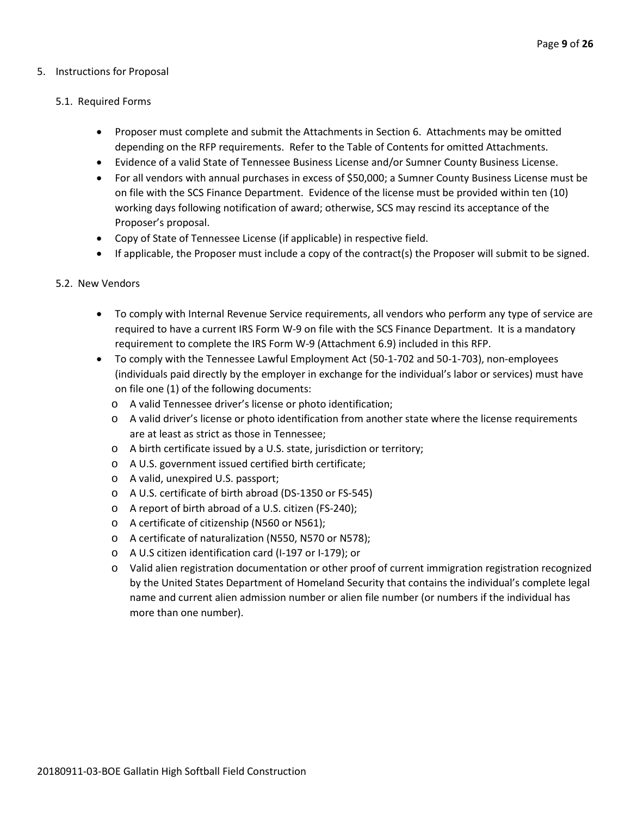#### 5. Instructions for Proposal

#### 5.1. Required Forms

- Proposer must complete and submit the Attachments in Section 6. Attachments may be omitted depending on the RFP requirements. Refer to the Table of Contents for omitted Attachments.
- Evidence of a valid State of Tennessee Business License and/or Sumner County Business License.
- For all vendors with annual purchases in excess of \$50,000; a Sumner County Business License must be on file with the SCS Finance Department. Evidence of the license must be provided within ten (10) working days following notification of award; otherwise, SCS may rescind its acceptance of the Proposer's proposal.
- Copy of State of Tennessee License (if applicable) in respective field.
- If applicable, the Proposer must include a copy of the contract(s) the Proposer will submit to be signed.

#### 5.2. New Vendors

- To comply with Internal Revenue Service requirements, all vendors who perform any type of service are required to have a current IRS Form W-9 on file with the SCS Finance Department. It is a mandatory requirement to complete the IRS Form W-9 (Attachment 6.9) included in this RFP.
- To comply with the Tennessee Lawful Employment Act (50-1-702 and 50-1-703), non-employees (individuals paid directly by the employer in exchange for the individual's labor or services) must have on file one (1) of the following documents:
	- o A valid Tennessee driver's license or photo identification;
	- o A valid driver's license or photo identification from another state where the license requirements are at least as strict as those in Tennessee;
	- o A birth certificate issued by a U.S. state, jurisdiction or territory;
	- o A U.S. government issued certified birth certificate;
	- o A valid, unexpired U.S. passport;
	- o A U.S. certificate of birth abroad (DS-1350 or FS-545)
	- o A report of birth abroad of a U.S. citizen (FS-240);
	- o A certificate of citizenship (N560 or N561);
	- o A certificate of naturalization (N550, N570 or N578);
	- o A U.S citizen identification card (I-197 or I-179); or
	- o Valid alien registration documentation or other proof of current immigration registration recognized by the United States Department of Homeland Security that contains the individual's complete legal name and current alien admission number or alien file number (or numbers if the individual has more than one number).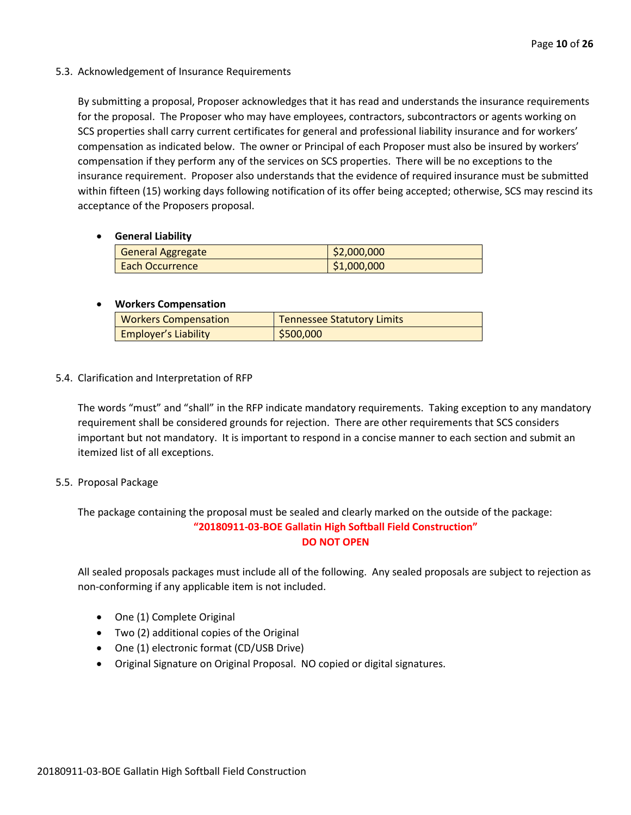#### 5.3. Acknowledgement of Insurance Requirements

By submitting a proposal, Proposer acknowledges that it has read and understands the insurance requirements for the proposal. The Proposer who may have employees, contractors, subcontractors or agents working on SCS properties shall carry current certificates for general and professional liability insurance and for workers' compensation as indicated below. The owner or Principal of each Proposer must also be insured by workers' compensation if they perform any of the services on SCS properties. There will be no exceptions to the insurance requirement. Proposer also understands that the evidence of required insurance must be submitted within fifteen (15) working days following notification of its offer being accepted; otherwise, SCS may rescind its acceptance of the Proposers proposal.

#### • **General Liability**

| <b>General Aggregate</b> | \$2,000,000 |
|--------------------------|-------------|
| <b>Each Occurrence</b>   | \$1,000,000 |

#### • **Workers Compensation**

| <b>Workers Compensation</b> | <b>Tennessee Statutory Limits</b> |
|-----------------------------|-----------------------------------|
| <b>Employer's Liability</b> | 5500,000                          |

#### 5.4. Clarification and Interpretation of RFP

The words "must" and "shall" in the RFP indicate mandatory requirements. Taking exception to any mandatory requirement shall be considered grounds for rejection. There are other requirements that SCS considers important but not mandatory. It is important to respond in a concise manner to each section and submit an itemized list of all exceptions.

#### 5.5. Proposal Package

The package containing the proposal must be sealed and clearly marked on the outside of the package: **"20180911-03-BOE Gallatin High Softball Field Construction" DO NOT OPEN**

All sealed proposals packages must include all of the following. Any sealed proposals are subject to rejection as non-conforming if any applicable item is not included.

- One (1) Complete Original
- Two (2) additional copies of the Original
- One (1) electronic format (CD/USB Drive)
- Original Signature on Original Proposal. NO copied or digital signatures.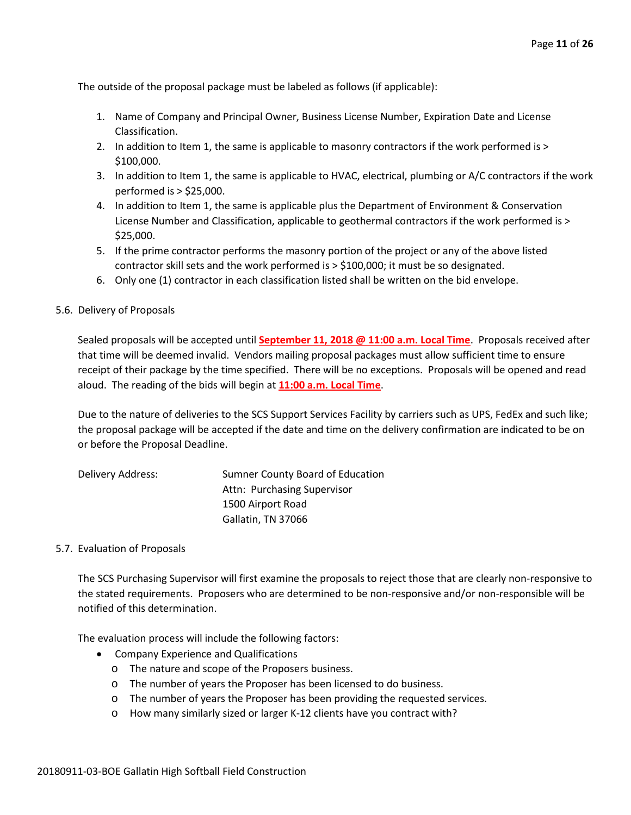The outside of the proposal package must be labeled as follows (if applicable):

- 1. Name of Company and Principal Owner, Business License Number, Expiration Date and License Classification.
- 2. In addition to Item 1, the same is applicable to masonry contractors if the work performed is > \$100,000.
- 3. In addition to Item 1, the same is applicable to HVAC, electrical, plumbing or A/C contractors if the work performed is > \$25,000.
- 4. In addition to Item 1, the same is applicable plus the Department of Environment & Conservation License Number and Classification, applicable to geothermal contractors if the work performed is > \$25,000.
- 5. If the prime contractor performs the masonry portion of the project or any of the above listed contractor skill sets and the work performed is > \$100,000; it must be so designated.
- 6. Only one (1) contractor in each classification listed shall be written on the bid envelope.

#### 5.6. Delivery of Proposals

Sealed proposals will be accepted until **September 11, 2018 @ 11:00 a.m. Local Time**. Proposals received after that time will be deemed invalid. Vendors mailing proposal packages must allow sufficient time to ensure receipt of their package by the time specified. There will be no exceptions. Proposals will be opened and read aloud. The reading of the bids will begin at **11:00 a.m. Local Time**.

Due to the nature of deliveries to the SCS Support Services Facility by carriers such as UPS, FedEx and such like; the proposal package will be accepted if the date and time on the delivery confirmation are indicated to be on or before the Proposal Deadline.

| Delivery Address: | Sumner County Board of Education |
|-------------------|----------------------------------|
|                   | Attn: Purchasing Supervisor      |
|                   | 1500 Airport Road                |
|                   | Gallatin, TN 37066               |

#### 5.7. Evaluation of Proposals

The SCS Purchasing Supervisor will first examine the proposals to reject those that are clearly non-responsive to the stated requirements. Proposers who are determined to be non-responsive and/or non-responsible will be notified of this determination.

The evaluation process will include the following factors:

- Company Experience and Qualifications
	- o The nature and scope of the Proposers business.
	- o The number of years the Proposer has been licensed to do business.
	- o The number of years the Proposer has been providing the requested services.
	- o How many similarly sized or larger K-12 clients have you contract with?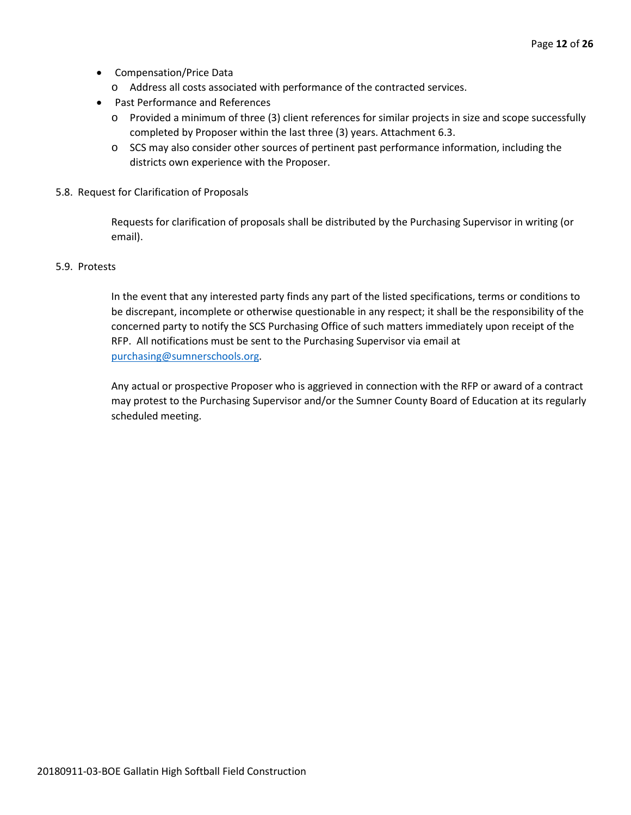- Compensation/Price Data
	- o Address all costs associated with performance of the contracted services.
- Past Performance and References
	- o Provided a minimum of three (3) client references for similar projects in size and scope successfully completed by Proposer within the last three (3) years. Attachment 6.3.
	- o SCS may also consider other sources of pertinent past performance information, including the districts own experience with the Proposer.
- 5.8. Request for Clarification of Proposals

Requests for clarification of proposals shall be distributed by the Purchasing Supervisor in writing (or email).

#### 5.9. Protests

In the event that any interested party finds any part of the listed specifications, terms or conditions to be discrepant, incomplete or otherwise questionable in any respect; it shall be the responsibility of the concerned party to notify the SCS Purchasing Office of such matters immediately upon receipt of the RFP. All notifications must be sent to the Purchasing Supervisor via email at [purchasing@sumnerschools.org.](mailto:purchasing@sumnerschools.org)

Any actual or prospective Proposer who is aggrieved in connection with the RFP or award of a contract may protest to the Purchasing Supervisor and/or the Sumner County Board of Education at its regularly scheduled meeting.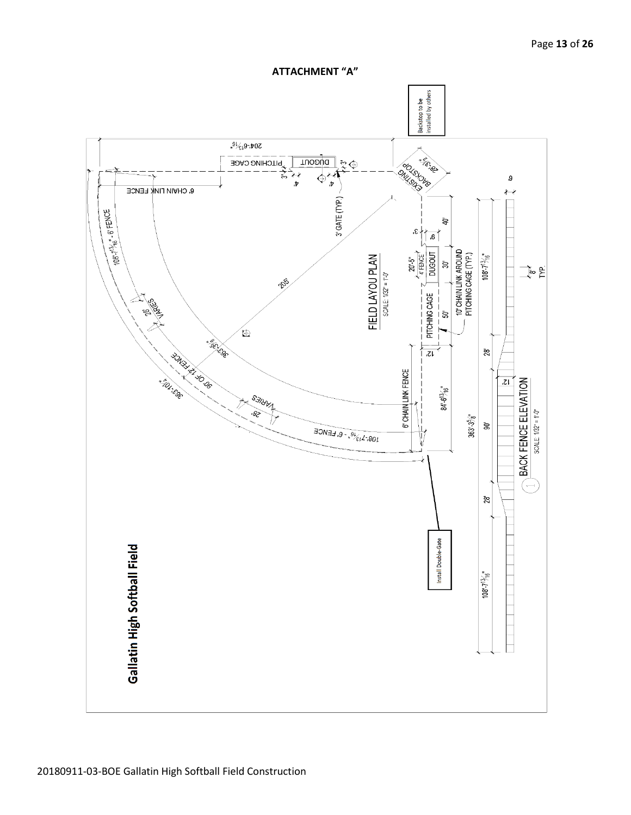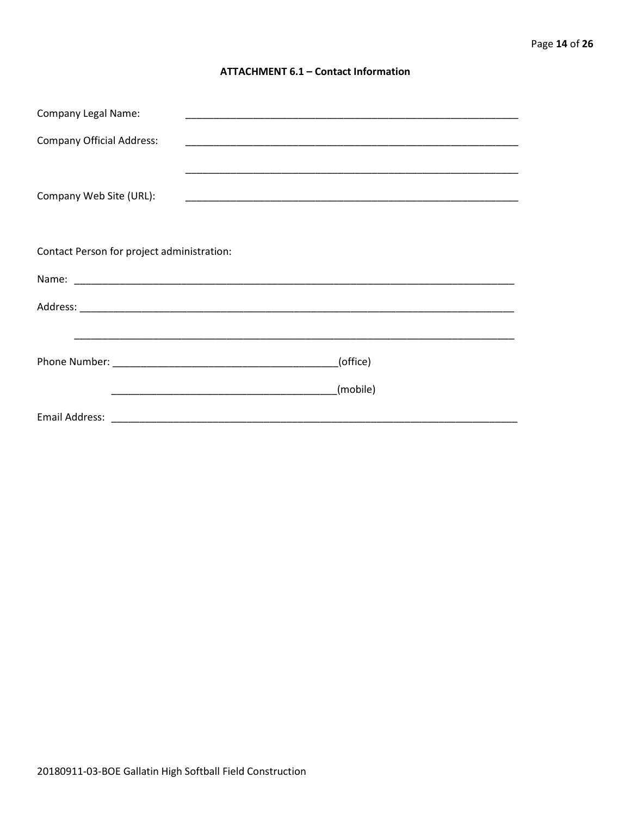#### **ATTACHMENT 6.1 - Contact Information**

| <b>Company Legal Name:</b>                 |          |  |
|--------------------------------------------|----------|--|
| <b>Company Official Address:</b>           |          |  |
|                                            |          |  |
| Company Web Site (URL):                    |          |  |
|                                            |          |  |
|                                            |          |  |
| Contact Person for project administration: |          |  |
|                                            |          |  |
|                                            |          |  |
|                                            |          |  |
|                                            | (office) |  |
|                                            |          |  |
|                                            | (mobile) |  |
|                                            |          |  |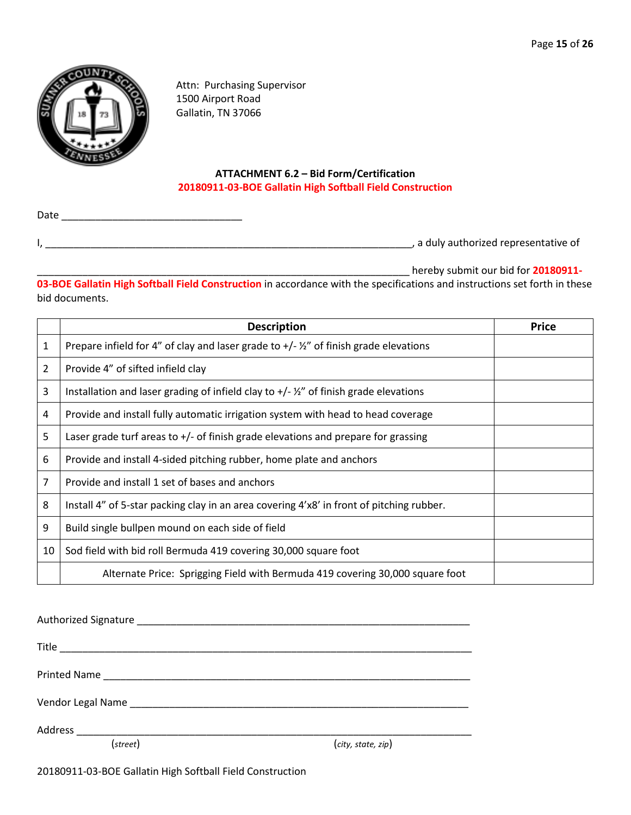

Attn: Purchasing Supervisor 1500 Airport Road Gallatin, TN 37066

#### **ATTACHMENT 6.2 – Bid Form/Certification 20180911-03-BOE Gallatin High Softball Field Construction**

Date \_\_\_\_\_\_\_\_\_\_\_\_\_\_\_\_\_\_\_\_\_\_\_\_\_\_\_\_\_\_\_\_

I, \_\_\_\_\_\_\_\_\_\_\_\_\_\_\_\_\_\_\_\_\_\_\_\_\_\_\_\_\_\_\_\_\_\_\_\_\_\_\_\_\_\_\_\_\_\_\_\_\_\_\_\_\_\_\_\_\_\_\_\_\_\_\_\_\_, a duly authorized representative of

\_\_\_\_\_\_\_\_\_\_\_\_\_\_\_\_\_\_\_\_\_\_\_\_\_\_\_\_\_\_\_\_\_\_\_\_\_\_\_\_\_\_\_\_\_\_\_\_\_\_\_\_\_\_\_\_\_\_\_\_\_\_\_\_\_\_ hereby submit our bid for **20180911-**

**03-BOE Gallatin High Softball Field Construction** in accordance with the specifications and instructions set forth in these bid documents.

|    | <b>Description</b>                                                                                   | <b>Price</b> |
|----|------------------------------------------------------------------------------------------------------|--------------|
| 1  | Prepare infield for 4" of clay and laser grade to $+/- 2$ " of finish grade elevations               |              |
| 2  | Provide 4" of sifted infield clay                                                                    |              |
| 3  | Installation and laser grading of infield clay to $+/ \frac{\gamma}{2}$ " of finish grade elevations |              |
| 4  | Provide and install fully automatic irrigation system with head to head coverage                     |              |
| 5  | Laser grade turf areas to $+/-$ of finish grade elevations and prepare for grassing                  |              |
| 6  | Provide and install 4-sided pitching rubber, home plate and anchors                                  |              |
| 7  | Provide and install 1 set of bases and anchors                                                       |              |
| 8  | Install 4" of 5-star packing clay in an area covering 4'x8' in front of pitching rubber.             |              |
| 9  | Build single bullpen mound on each side of field                                                     |              |
| 10 | Sod field with bid roll Bermuda 419 covering 30,000 square foot                                      |              |
|    | Alternate Price: Sprigging Field with Bermuda 419 covering 30,000 square foot                        |              |

| $(\text{street})$ | (city, state, zip) |
|-------------------|--------------------|

20180911-03-BOE Gallatin High Softball Field Construction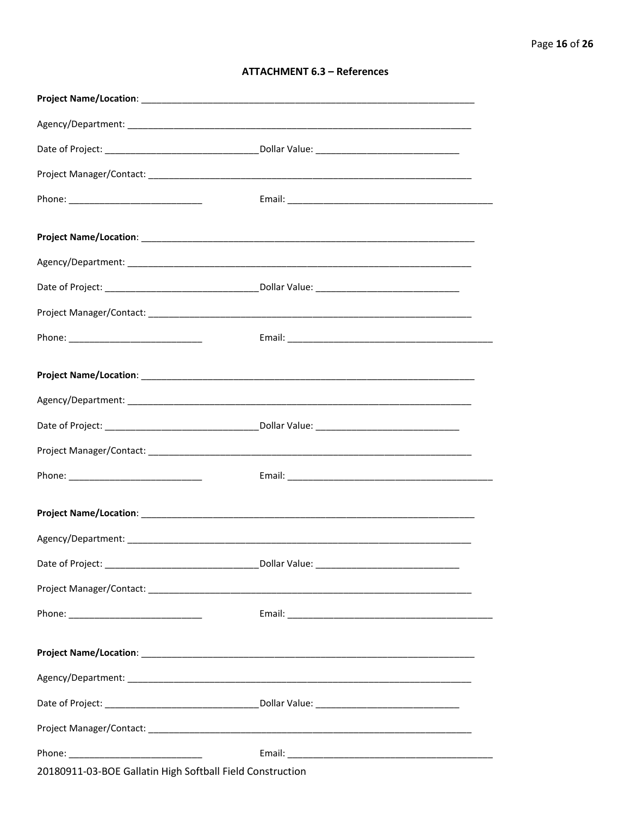#### **ATTACHMENT 6.3 - References**

| Project Name/Location: Name and Security and Security and Security and Security and Security and Security and |  |
|---------------------------------------------------------------------------------------------------------------|--|
|                                                                                                               |  |
|                                                                                                               |  |
|                                                                                                               |  |
|                                                                                                               |  |
|                                                                                                               |  |
|                                                                                                               |  |
|                                                                                                               |  |
|                                                                                                               |  |
|                                                                                                               |  |
|                                                                                                               |  |
|                                                                                                               |  |
| 20180911-03-BOE Gallatin High Softball Field Construction                                                     |  |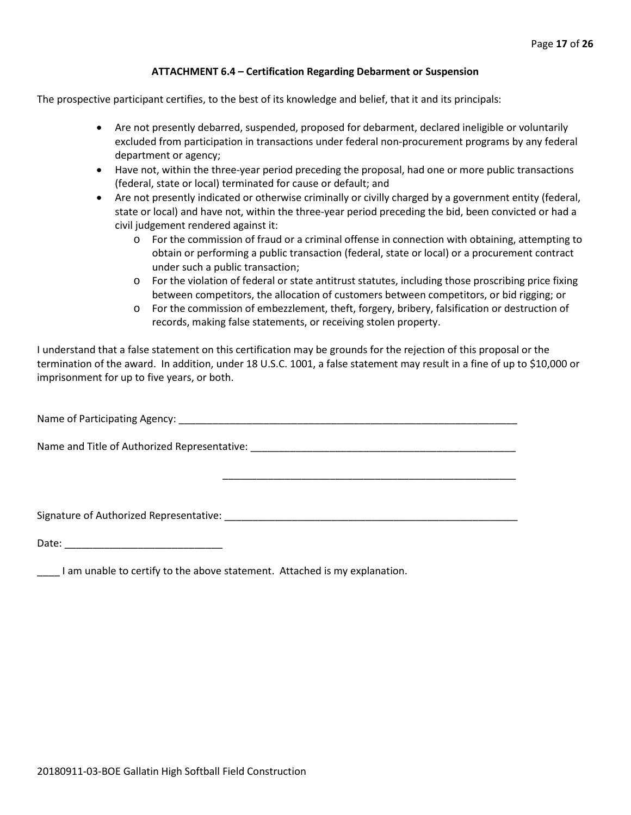#### **ATTACHMENT 6.4 – Certification Regarding Debarment or Suspension**

The prospective participant certifies, to the best of its knowledge and belief, that it and its principals:

- Are not presently debarred, suspended, proposed for debarment, declared ineligible or voluntarily excluded from participation in transactions under federal non-procurement programs by any federal department or agency;
- Have not, within the three-year period preceding the proposal, had one or more public transactions (federal, state or local) terminated for cause or default; and
- Are not presently indicated or otherwise criminally or civilly charged by a government entity (federal, state or local) and have not, within the three-year period preceding the bid, been convicted or had a civil judgement rendered against it:
	- $\circ$  For the commission of fraud or a criminal offense in connection with obtaining, attempting to obtain or performing a public transaction (federal, state or local) or a procurement contract under such a public transaction;
	- o For the violation of federal or state antitrust statutes, including those proscribing price fixing between competitors, the allocation of customers between competitors, or bid rigging; or
	- o For the commission of embezzlement, theft, forgery, bribery, falsification or destruction of records, making false statements, or receiving stolen property.

\_\_\_\_\_\_\_\_\_\_\_\_\_\_\_\_\_\_\_\_\_\_\_\_\_\_\_\_\_\_\_\_\_\_\_\_\_\_\_\_\_\_\_\_\_\_\_\_\_\_\_\_

I understand that a false statement on this certification may be grounds for the rejection of this proposal or the termination of the award. In addition, under 18 U.S.C. 1001, a false statement may result in a fine of up to \$10,000 or imprisonment for up to five years, or both.

Name of Participating Agency: \_\_\_\_\_\_\_\_\_\_\_\_\_\_\_\_\_\_\_\_\_\_\_\_\_\_\_\_\_\_\_\_\_\_\_\_\_\_\_\_\_\_\_\_\_\_\_\_\_\_\_\_\_\_\_\_\_\_\_\_

Name and Title of Authorized Representative: \_\_\_\_\_\_\_\_\_\_\_\_\_\_\_\_\_\_\_\_\_\_\_\_\_\_\_\_\_\_\_\_\_\_\_\_\_\_\_\_\_\_\_\_\_\_\_

Signature of Authorized Representative: \_\_\_\_\_\_\_\_\_\_\_\_\_\_\_\_\_\_\_\_\_\_\_\_\_\_\_\_\_\_\_\_\_\_\_\_\_\_\_\_\_\_\_\_\_\_\_\_\_\_\_\_

Date: \_\_\_\_\_\_\_\_\_\_\_\_\_\_\_\_\_\_\_\_\_\_\_\_\_\_\_\_

\_\_\_\_ I am unable to certify to the above statement. Attached is my explanation.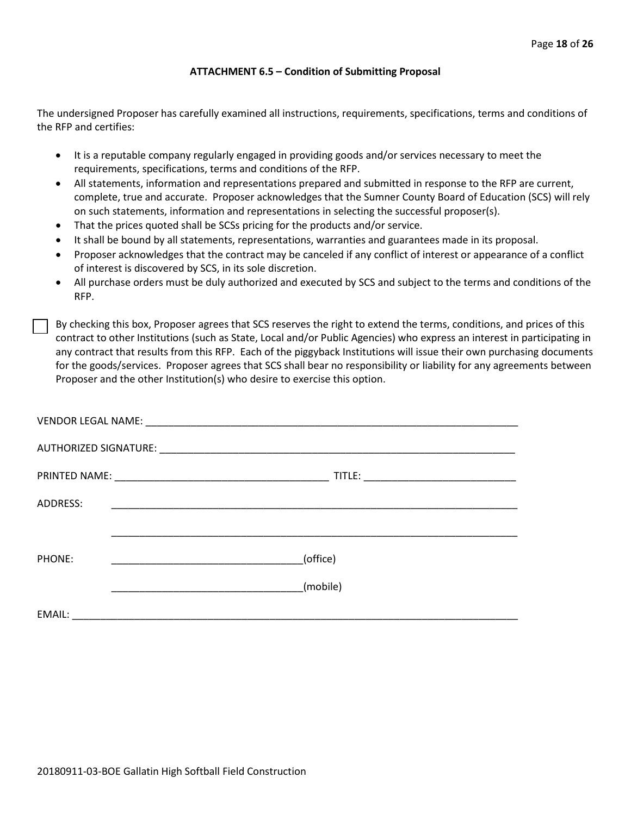#### **ATTACHMENT 6.5 – Condition of Submitting Proposal**

The undersigned Proposer has carefully examined all instructions, requirements, specifications, terms and conditions of the RFP and certifies:

- It is a reputable company regularly engaged in providing goods and/or services necessary to meet the requirements, specifications, terms and conditions of the RFP.
- All statements, information and representations prepared and submitted in response to the RFP are current, complete, true and accurate. Proposer acknowledges that the Sumner County Board of Education (SCS) will rely on such statements, information and representations in selecting the successful proposer(s).
- That the prices quoted shall be SCSs pricing for the products and/or service.
- It shall be bound by all statements, representations, warranties and guarantees made in its proposal.
- Proposer acknowledges that the contract may be canceled if any conflict of interest or appearance of a conflict of interest is discovered by SCS, in its sole discretion.
- All purchase orders must be duly authorized and executed by SCS and subject to the terms and conditions of the RFP.

By checking this box, Proposer agrees that SCS reserves the right to extend the terms, conditions, and prices of this contract to other Institutions (such as State, Local and/or Public Agencies) who express an interest in participating in any contract that results from this RFP. Each of the piggyback Institutions will issue their own purchasing documents for the goods/services. Proposer agrees that SCS shall bear no responsibility or liability for any agreements between Proposer and the other Institution(s) who desire to exercise this option.

| ADDRESS: |          |
|----------|----------|
|          |          |
| PHONE:   | (office) |
|          | (mobile) |
| EMAIL:   |          |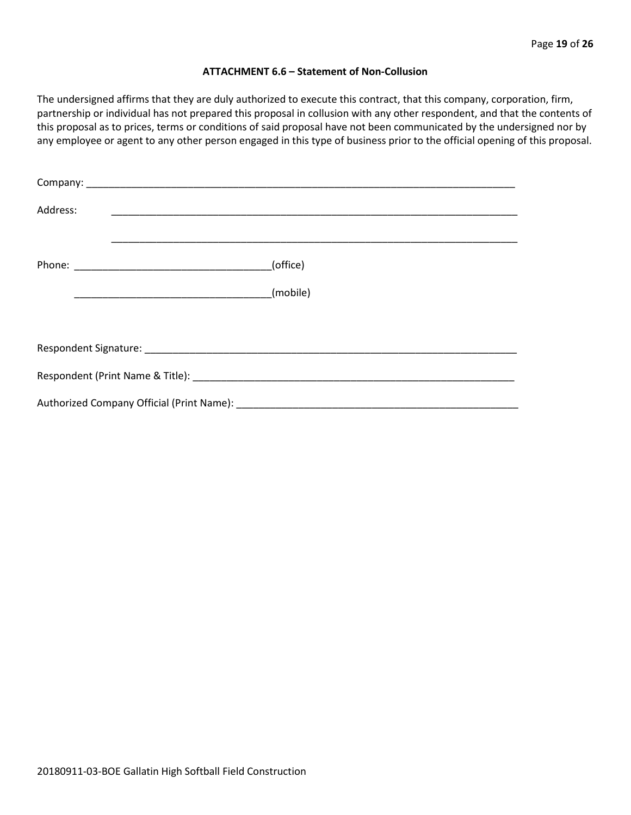#### **ATTACHMENT 6.6 – Statement of Non-Collusion**

The undersigned affirms that they are duly authorized to execute this contract, that this company, corporation, firm, partnership or individual has not prepared this proposal in collusion with any other respondent, and that the contents of this proposal as to prices, terms or conditions of said proposal have not been communicated by the undersigned nor by any employee or agent to any other person engaged in this type of business prior to the official opening of this proposal.

| Address: |          |  |  |  |  |
|----------|----------|--|--|--|--|
|          | (office) |  |  |  |  |
|          | (mobile) |  |  |  |  |
|          |          |  |  |  |  |
|          |          |  |  |  |  |
|          |          |  |  |  |  |
|          |          |  |  |  |  |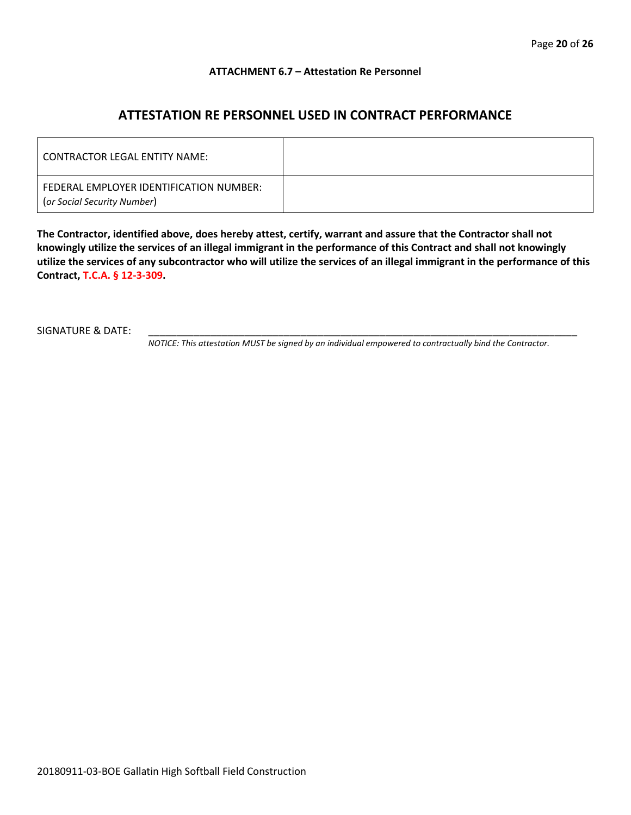#### **ATTACHMENT 6.7 – Attestation Re Personnel**

## **ATTESTATION RE PERSONNEL USED IN CONTRACT PERFORMANCE**

| CONTRACTOR LEGAL ENTITY NAME:                                          |  |
|------------------------------------------------------------------------|--|
| FEDERAL EMPLOYER IDENTIFICATION NUMBER:<br>(or Social Security Number) |  |

**The Contractor, identified above, does hereby attest, certify, warrant and assure that the Contractor shall not knowingly utilize the services of an illegal immigrant in the performance of this Contract and shall not knowingly utilize the services of any subcontractor who will utilize the services of an illegal immigrant in the performance of this Contract, T.C.A. § 12-3-309.**

SIGNATURE & DATE:

*NOTICE: This attestation MUST be signed by an individual empowered to contractually bind the Contractor.*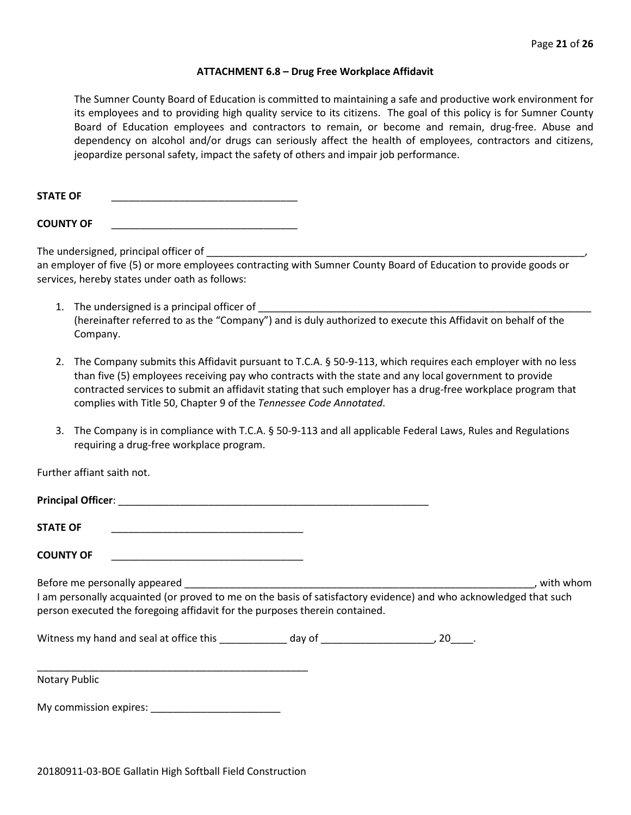#### **ATTACHMENT 6.8 – Drug Free Workplace Affidavit**

The Sumner County Board of Education is committed to maintaining a safe and productive work environment for its employees and to providing high quality service to its citizens. The goal of this policy is for Sumner County Board of Education employees and contractors to remain, or become and remain, drug-free. Abuse and dependency on alcohol and/or drugs can seriously affect the health of employees, contractors and citizens, jeopardize personal safety, impact the safety of others and impair job performance.

STATE OF

**COUNTY OF** \_\_\_\_\_\_\_\_\_\_\_\_\_\_\_\_\_\_\_\_\_\_\_\_\_\_\_\_\_\_\_\_\_

The undersigned, principal officer of

an employer of five (5) or more employees contracting with Sumner County Board of Education to provide goods or services, hereby states under oath as follows:

- 1. The undersigned is a principal officer of (hereinafter referred to as the "Company") and is duly authorized to execute this Affidavit on behalf of the Company.
- 2. The Company submits this Affidavit pursuant to T.C.A. § 50-9-113, which requires each employer with no less than five (5) employees receiving pay who contracts with the state and any local government to provide contracted services to submit an affidavit stating that such employer has a drug-free workplace program that complies with Title 50, Chapter 9 of the *Tennessee Code Annotated*.
- 3. The Company is in compliance with T.C.A. § 50-9-113 and all applicable Federal Laws, Rules and Regulations requiring a drug-free workplace program.

Further affiant saith not.

| <b>STATE OF</b><br><u> 1989 - Johann John Stein, markin film yn y brening yn y brening yn y brening yn y brening yn y brening yn y b</u>                                                                                                                                                                                                                                                                                           |  |           |
|------------------------------------------------------------------------------------------------------------------------------------------------------------------------------------------------------------------------------------------------------------------------------------------------------------------------------------------------------------------------------------------------------------------------------------|--|-----------|
| <b>COUNTY OF</b><br><u> 1999 - Johann John Stone, mars eta biztanleria (</u>                                                                                                                                                                                                                                                                                                                                                       |  |           |
| Before me personally appeared experience and the set of the set of the set of the set of the set of the set of the set of the set of the set of the set of the set of the set of the set of the set of the set of the set of t<br>I am personally acquainted (or proved to me on the basis of satisfactory evidence) and who acknowledged that such<br>person executed the foregoing affidavit for the purposes therein contained. |  | with whom |
|                                                                                                                                                                                                                                                                                                                                                                                                                                    |  |           |
| Notary Public                                                                                                                                                                                                                                                                                                                                                                                                                      |  |           |
| My commission expires: New York Commission expires:                                                                                                                                                                                                                                                                                                                                                                                |  |           |

20180911-03-BOE Gallatin High Softball Field Construction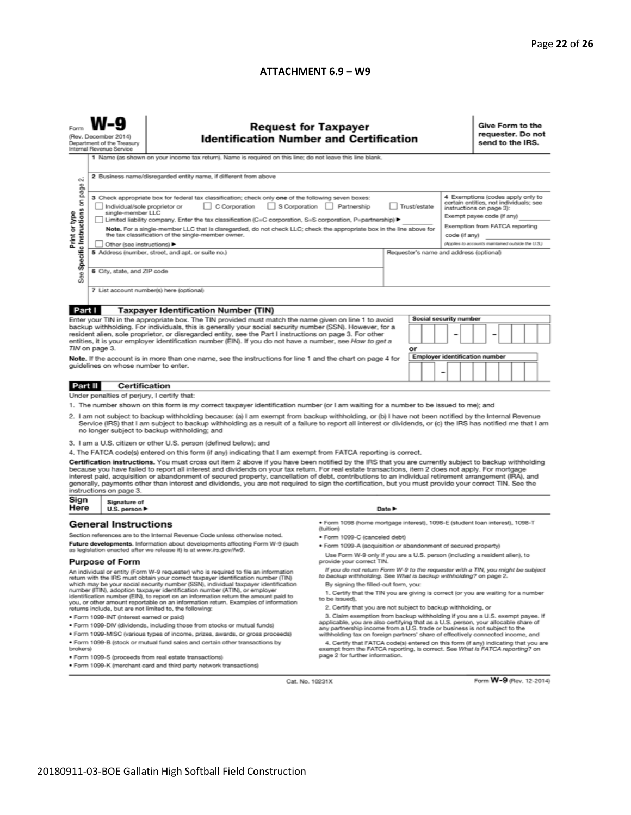#### **ATTACHMENT 6.9 – W9**

| <b>Request for Taxpayer</b><br><b>Identification Number and Certification</b><br>(Rev. December 2014)<br>Department of the Treasury<br>Internal Revenue Service<br>1 Name (as shown on your income tax return). Name is required on this line; do not leave this line blank.                                                                                                                                                                                                                                                                                                                                                                                                                                                                                                                                                                                                                                                                                                                                                                                                                                                                                                                                                                                                                                                                                                                                  |                                                                                                                                                                                                                                                                                                                                                                                                                                                                                                                                                                                                                                                                                                                                                                      |                                                                                                          |                                                                                                                                                                                                                                                                                                                                                                                                                                                                                                                                                                                                                                                                                                                                                                                                                                                                                                                         |                                                                                   |  |  |  |                                                                                                                                                                                                                              | Give Form to the<br>requester. Do not<br>send to the IRS. |  |  |  |  |  |
|---------------------------------------------------------------------------------------------------------------------------------------------------------------------------------------------------------------------------------------------------------------------------------------------------------------------------------------------------------------------------------------------------------------------------------------------------------------------------------------------------------------------------------------------------------------------------------------------------------------------------------------------------------------------------------------------------------------------------------------------------------------------------------------------------------------------------------------------------------------------------------------------------------------------------------------------------------------------------------------------------------------------------------------------------------------------------------------------------------------------------------------------------------------------------------------------------------------------------------------------------------------------------------------------------------------------------------------------------------------------------------------------------------------|----------------------------------------------------------------------------------------------------------------------------------------------------------------------------------------------------------------------------------------------------------------------------------------------------------------------------------------------------------------------------------------------------------------------------------------------------------------------------------------------------------------------------------------------------------------------------------------------------------------------------------------------------------------------------------------------------------------------------------------------------------------------|----------------------------------------------------------------------------------------------------------|-------------------------------------------------------------------------------------------------------------------------------------------------------------------------------------------------------------------------------------------------------------------------------------------------------------------------------------------------------------------------------------------------------------------------------------------------------------------------------------------------------------------------------------------------------------------------------------------------------------------------------------------------------------------------------------------------------------------------------------------------------------------------------------------------------------------------------------------------------------------------------------------------------------------------|-----------------------------------------------------------------------------------|--|--|--|------------------------------------------------------------------------------------------------------------------------------------------------------------------------------------------------------------------------------|-----------------------------------------------------------|--|--|--|--|--|
| $\sim$<br>page<br>Specific Instructions on<br>Print or type<br>æ                                                                                                                                                                                                                                                                                                                                                                                                                                                                                                                                                                                                                                                                                                                                                                                                                                                                                                                                                                                                                                                                                                                                                                                                                                                                                                                                              | 2 Business name/disregarded entity name, if different from above<br>3 Check appropriate box for federal tax classification; check only one of the following seven boxes:<br>C Corporation S Corporation Partnership<br>Trust/estate<br>Individual/sole proprietor or<br>single-member LLC<br>Limited liability company. Enter the tax classification (C=C corporation, S=S corporation, P=partnership) ▶<br>Note. For a single-member LLC that is disregarded, do not check LLC; check the appropriate box in the line above for<br>the tax classification of the single-member owner.<br>code (if any)<br>Other (see instructions) ▶<br>5 Address (number, street, and apt. or suite no.)<br>Requester's name and address (optional)<br>6 City, state, and ZIP code |                                                                                                          |                                                                                                                                                                                                                                                                                                                                                                                                                                                                                                                                                                                                                                                                                                                                                                                                                                                                                                                         |                                                                                   |  |  |  | 4 Exemptions (codes apply only to<br>certain entities, not individuals; see<br>instructions on page 3):<br>Exempt payee code (if any)<br>Exemption from FATCA reporting<br>(Applies to accounts maintained outside the U.S.) |                                                           |  |  |  |  |  |
| αñ                                                                                                                                                                                                                                                                                                                                                                                                                                                                                                                                                                                                                                                                                                                                                                                                                                                                                                                                                                                                                                                                                                                                                                                                                                                                                                                                                                                                            |                                                                                                                                                                                                                                                                                                                                                                                                                                                                                                                                                                                                                                                                                                                                                                      | 7 List account number(s) here (optional)                                                                 |                                                                                                                                                                                                                                                                                                                                                                                                                                                                                                                                                                                                                                                                                                                                                                                                                                                                                                                         |                                                                                   |  |  |  |                                                                                                                                                                                                                              |                                                           |  |  |  |  |  |
| Part I                                                                                                                                                                                                                                                                                                                                                                                                                                                                                                                                                                                                                                                                                                                                                                                                                                                                                                                                                                                                                                                                                                                                                                                                                                                                                                                                                                                                        |                                                                                                                                                                                                                                                                                                                                                                                                                                                                                                                                                                                                                                                                                                                                                                      | <b>Taxpayer Identification Number (TIN)</b>                                                              |                                                                                                                                                                                                                                                                                                                                                                                                                                                                                                                                                                                                                                                                                                                                                                                                                                                                                                                         |                                                                                   |  |  |  |                                                                                                                                                                                                                              |                                                           |  |  |  |  |  |
| Enter your TIN in the appropriate box. The TIN provided must match the name given on line 1 to avoid<br>backup withholding. For individuals, this is generally your social security number (SSN). However, for a<br>resident alien, sole proprietor, or disregarded entity, see the Part I instructions on page 3. For other<br>entities, it is your employer identification number (EIN). If you do not have a number, see How to get a<br>TIN on page 3.<br>Note. If the account is in more than one name, see the instructions for line 1 and the chart on page 4 for<br>guidelines on whose number to enter.                                                                                                                                                                                                                                                                                                                                                                                                                                                                                                                                                                                                                                                                                                                                                                                              |                                                                                                                                                                                                                                                                                                                                                                                                                                                                                                                                                                                                                                                                                                                                                                      |                                                                                                          |                                                                                                                                                                                                                                                                                                                                                                                                                                                                                                                                                                                                                                                                                                                                                                                                                                                                                                                         | <b>Social security number</b><br>or<br><b>Employer identification number</b><br>- |  |  |  |                                                                                                                                                                                                                              |                                                           |  |  |  |  |  |
|                                                                                                                                                                                                                                                                                                                                                                                                                                                                                                                                                                                                                                                                                                                                                                                                                                                                                                                                                                                                                                                                                                                                                                                                                                                                                                                                                                                                               |                                                                                                                                                                                                                                                                                                                                                                                                                                                                                                                                                                                                                                                                                                                                                                      |                                                                                                          |                                                                                                                                                                                                                                                                                                                                                                                                                                                                                                                                                                                                                                                                                                                                                                                                                                                                                                                         |                                                                                   |  |  |  |                                                                                                                                                                                                                              |                                                           |  |  |  |  |  |
| Part II                                                                                                                                                                                                                                                                                                                                                                                                                                                                                                                                                                                                                                                                                                                                                                                                                                                                                                                                                                                                                                                                                                                                                                                                                                                                                                                                                                                                       | <b>Certification</b>                                                                                                                                                                                                                                                                                                                                                                                                                                                                                                                                                                                                                                                                                                                                                 |                                                                                                          |                                                                                                                                                                                                                                                                                                                                                                                                                                                                                                                                                                                                                                                                                                                                                                                                                                                                                                                         |                                                                                   |  |  |  |                                                                                                                                                                                                                              |                                                           |  |  |  |  |  |
| Under penalties of perjury, I certify that:<br>1. The number shown on this form is my correct taxpayer identification number (or I am waiting for a number to be issued to me); and<br>2. I am not subject to backup withholding because: (a) I am exempt from backup withholding, or (b) I have not been notified by the Internal Revenue<br>Service (IRS) that I am subject to backup withholding as a result of a failure to report all interest or dividends, or (c) the IRS has notified me that I am<br>no longer subject to backup withholding; and<br>3. I am a U.S. citizen or other U.S. person (defined below); and<br>4. The FATCA code(s) entered on this form (if any) indicating that I am exempt from FATCA reporting is correct.<br>Certification instructions. You must cross out item 2 above if you have been notified by the IRS that you are currently subject to backup withholding<br>because you have failed to report all interest and dividends on your tax return. For real estate transactions, item 2 does not apply. For mortgage<br>interest paid, acquisition or abandonment of secured property, cancellation of debt, contributions to an individual retirement arrangement (IRA), and<br>generally, payments other than interest and dividends, you are not required to sign the certification, but you must provide your correct TIN. See the<br>instructions on page 3. |                                                                                                                                                                                                                                                                                                                                                                                                                                                                                                                                                                                                                                                                                                                                                                      |                                                                                                          |                                                                                                                                                                                                                                                                                                                                                                                                                                                                                                                                                                                                                                                                                                                                                                                                                                                                                                                         |                                                                                   |  |  |  |                                                                                                                                                                                                                              |                                                           |  |  |  |  |  |
| Sign<br>Here                                                                                                                                                                                                                                                                                                                                                                                                                                                                                                                                                                                                                                                                                                                                                                                                                                                                                                                                                                                                                                                                                                                                                                                                                                                                                                                                                                                                  | Signature of<br>U.S. person $\blacktriangleright$                                                                                                                                                                                                                                                                                                                                                                                                                                                                                                                                                                                                                                                                                                                    |                                                                                                          |                                                                                                                                                                                                                                                                                                                                                                                                                                                                                                                                                                                                                                                                                                                                                                                                                                                                                                                         |                                                                                   |  |  |  |                                                                                                                                                                                                                              |                                                           |  |  |  |  |  |
| <b>General Instructions</b><br>Section references are to the Internal Revenue Code unless otherwise noted.<br>Future developments. Information about developments affecting Form W-9 (such<br>as legislation enacted after we release it) is at www.irs.gov/fw9.                                                                                                                                                                                                                                                                                                                                                                                                                                                                                                                                                                                                                                                                                                                                                                                                                                                                                                                                                                                                                                                                                                                                              |                                                                                                                                                                                                                                                                                                                                                                                                                                                                                                                                                                                                                                                                                                                                                                      |                                                                                                          | Date P<br>· Form 1098 (home mortgage interest), 1098-E (student loan interest), 1098-T<br>(tuition)<br>· Form 1099-C (canceled debt)<br>· Form 1099-A (acquisition or abandonment of secured property)                                                                                                                                                                                                                                                                                                                                                                                                                                                                                                                                                                                                                                                                                                                  |                                                                                   |  |  |  |                                                                                                                                                                                                                              |                                                           |  |  |  |  |  |
| <b>Purpose of Form</b>                                                                                                                                                                                                                                                                                                                                                                                                                                                                                                                                                                                                                                                                                                                                                                                                                                                                                                                                                                                                                                                                                                                                                                                                                                                                                                                                                                                        |                                                                                                                                                                                                                                                                                                                                                                                                                                                                                                                                                                                                                                                                                                                                                                      | Use Form W-9 only if you are a U.S. person (including a resident alien), to<br>provide your correct TIN. |                                                                                                                                                                                                                                                                                                                                                                                                                                                                                                                                                                                                                                                                                                                                                                                                                                                                                                                         |                                                                                   |  |  |  |                                                                                                                                                                                                                              |                                                           |  |  |  |  |  |
| An individual or entity (Form W-9 requester) who is required to file an information<br>return with the IRS must obtain your correct taxpayer identification number (TIN)<br>which may be your social security number (SSN), individual taxpayer identification<br>number (ITIN), adoption taxpayer identification number (ATIN), or employer<br>identification number (EIN), to report on an information return the amount paid to<br>you, or other amount reportable on an information return. Examples of information<br>returns include, but are not limited to, the following:<br>· Form 1099-INT (interest earned or paid)<br>. Form 1099-DIV (dividends, including those from stocks or mutual funds)<br>* Form 1099-MISC (various types of income, prizes, awards, or gross proceeds)<br>. Form 1099-B (stock or mutual fund sales and certain other transactions by<br>brokers)<br>· Form 1099-S (proceeds from real estate transactions)                                                                                                                                                                                                                                                                                                                                                                                                                                                             |                                                                                                                                                                                                                                                                                                                                                                                                                                                                                                                                                                                                                                                                                                                                                                      |                                                                                                          | If you do not return Form W-9 to the requester with a TIN, you might be subject<br>to backup withholding. See What is backup withholding? on page 2.<br>By signing the filled-out form, you:<br>1. Certify that the TIN you are giving is correct (or you are waiting for a number<br>to be issued).<br>2. Certify that you are not subject to backup withholding, or<br>3. Claim exemption from backup withholding if you are a U.S. exempt payee. If<br>applicable, you are also certifying that as a U.S. person, your allocable share of<br>any partnership income from a U.S. trade or business is not subject to the<br>withholding tax on foreign partners' share of effectively connected income, and<br>4. Certify that FATCA code(s) entered on this form (if any) indicating that you are<br>exempt from the FATCA reporting, is correct. See What is FATCA reporting? on<br>page 2 for further information. |                                                                                   |  |  |  |                                                                                                                                                                                                                              |                                                           |  |  |  |  |  |
| . Form 1099-K (merchant card and third party network transactions)                                                                                                                                                                                                                                                                                                                                                                                                                                                                                                                                                                                                                                                                                                                                                                                                                                                                                                                                                                                                                                                                                                                                                                                                                                                                                                                                            |                                                                                                                                                                                                                                                                                                                                                                                                                                                                                                                                                                                                                                                                                                                                                                      |                                                                                                          |                                                                                                                                                                                                                                                                                                                                                                                                                                                                                                                                                                                                                                                                                                                                                                                                                                                                                                                         |                                                                                   |  |  |  |                                                                                                                                                                                                                              |                                                           |  |  |  |  |  |

Cat. No. 10231X

Form W-9 (Rev. 12-2014)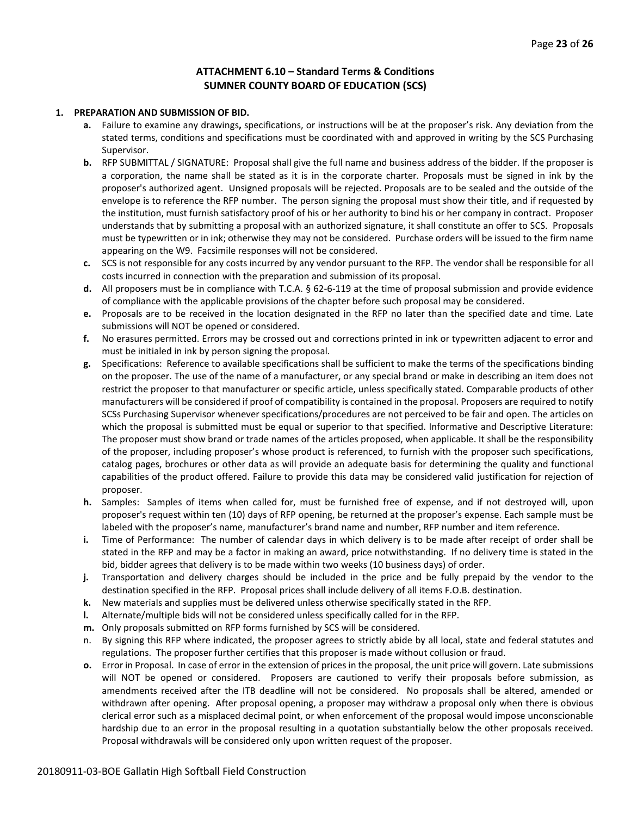#### **ATTACHMENT 6.10 – Standard Terms & Conditions SUMNER COUNTY BOARD OF EDUCATION (SCS)**

#### **1. PREPARATION AND SUBMISSION OF BID.**

- **a.** Failure to examine any drawings**,** specifications, or instructions will be at the proposer's risk. Any deviation from the stated terms, conditions and specifications must be coordinated with and approved in writing by the SCS Purchasing Supervisor.
- **b.** RFP SUBMITTAL / SIGNATURE: Proposal shall give the full name and business address of the bidder. If the proposer is a corporation, the name shall be stated as it is in the corporate charter. Proposals must be signed in ink by the proposer's authorized agent. Unsigned proposals will be rejected. Proposals are to be sealed and the outside of the envelope is to reference the RFP number. The person signing the proposal must show their title, and if requested by the institution, must furnish satisfactory proof of his or her authority to bind his or her company in contract. Proposer understands that by submitting a proposal with an authorized signature, it shall constitute an offer to SCS. Proposals must be typewritten or in ink; otherwise they may not be considered. Purchase orders will be issued to the firm name appearing on the W9. Facsimile responses will not be considered.
- **c.** SCS is not responsible for any costs incurred by any vendor pursuant to the RFP. The vendor shall be responsible for all costs incurred in connection with the preparation and submission of its proposal.
- **d.** All proposers must be in compliance with T.C.A. § 62-6-119 at the time of proposal submission and provide evidence of compliance with the applicable provisions of the chapter before such proposal may be considered.
- **e.** Proposals are to be received in the location designated in the RFP no later than the specified date and time. Late submissions will NOT be opened or considered.
- **f.** No erasures permitted. Errors may be crossed out and corrections printed in ink or typewritten adjacent to error and must be initialed in ink by person signing the proposal.
- **g.** Specifications: Reference to available specifications shall be sufficient to make the terms of the specifications binding on the proposer. The use of the name of a manufacturer, or any special brand or make in describing an item does not restrict the proposer to that manufacturer or specific article, unless specifically stated. Comparable products of other manufacturers will be considered if proof of compatibility is contained in the proposal. Proposers are required to notify SCSs Purchasing Supervisor whenever specifications/procedures are not perceived to be fair and open. The articles on which the proposal is submitted must be equal or superior to that specified. Informative and Descriptive Literature: The proposer must show brand or trade names of the articles proposed, when applicable. It shall be the responsibility of the proposer, including proposer's whose product is referenced, to furnish with the proposer such specifications, catalog pages, brochures or other data as will provide an adequate basis for determining the quality and functional capabilities of the product offered. Failure to provide this data may be considered valid justification for rejection of proposer.
- **h.** Samples: Samples of items when called for, must be furnished free of expense, and if not destroyed will, upon proposer's request within ten (10) days of RFP opening, be returned at the proposer's expense. Each sample must be labeled with the proposer's name, manufacturer's brand name and number, RFP number and item reference.
- **i.** Time of Performance: The number of calendar days in which delivery is to be made after receipt of order shall be stated in the RFP and may be a factor in making an award, price notwithstanding. If no delivery time is stated in the bid, bidder agrees that delivery is to be made within two weeks (10 business days) of order.
- **j.** Transportation and delivery charges should be included in the price and be fully prepaid by the vendor to the destination specified in the RFP. Proposal prices shall include delivery of all items F.O.B. destination.
- **k.** New materials and supplies must be delivered unless otherwise specifically stated in the RFP.
- **l.** Alternate/multiple bids will not be considered unless specifically called for in the RFP.
- **m.** Only proposals submitted on RFP forms furnished by SCS will be considered.
- n. By signing this RFP where indicated, the proposer agrees to strictly abide by all local, state and federal statutes and regulations. The proposer further certifies that this proposer is made without collusion or fraud.
- **o.** Error in Proposal. In case of error in the extension of prices in the proposal, the unit price will govern. Late submissions will NOT be opened or considered. Proposers are cautioned to verify their proposals before submission, as amendments received after the ITB deadline will not be considered. No proposals shall be altered, amended or withdrawn after opening. After proposal opening, a proposer may withdraw a proposal only when there is obvious clerical error such as a misplaced decimal point, or when enforcement of the proposal would impose unconscionable hardship due to an error in the proposal resulting in a quotation substantially below the other proposals received. Proposal withdrawals will be considered only upon written request of the proposer.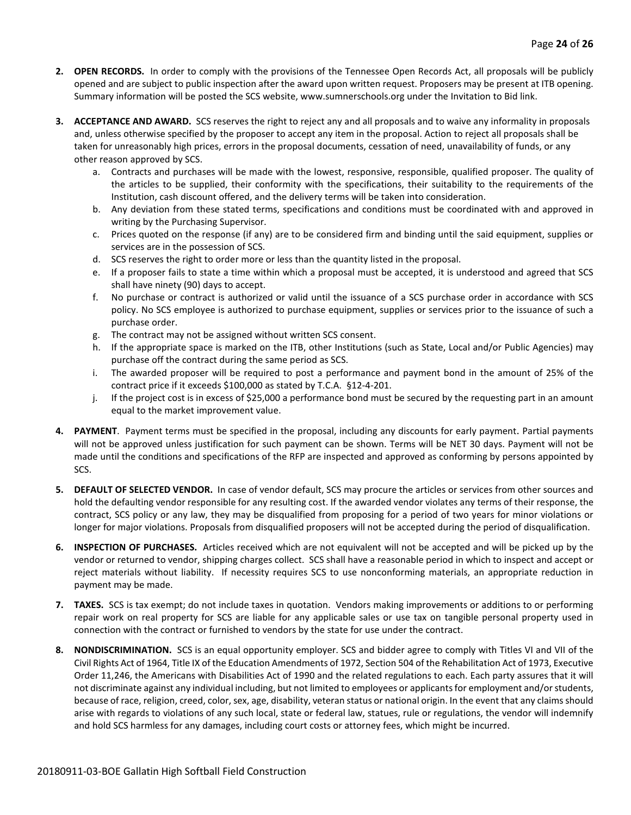- **2. OPEN RECORDS.** In order to comply with the provisions of the Tennessee Open Records Act, all proposals will be publicly opened and are subject to public inspection after the award upon written request. Proposers may be present at ITB opening. Summary information will be posted the SCS website, www.sumnerschools.org under the Invitation to Bid link.
- **3. ACCEPTANCE AND AWARD.** SCS reserves the right to reject any and all proposals and to waive any informality in proposals and, unless otherwise specified by the proposer to accept any item in the proposal. Action to reject all proposals shall be taken for unreasonably high prices, errors in the proposal documents, cessation of need, unavailability of funds, or any other reason approved by SCS.
	- a. Contracts and purchases will be made with the lowest, responsive, responsible, qualified proposer. The quality of the articles to be supplied, their conformity with the specifications, their suitability to the requirements of the Institution, cash discount offered, and the delivery terms will be taken into consideration.
	- b. Any deviation from these stated terms, specifications and conditions must be coordinated with and approved in writing by the Purchasing Supervisor.
	- c. Prices quoted on the response (if any) are to be considered firm and binding until the said equipment, supplies or services are in the possession of SCS.
	- d. SCS reserves the right to order more or less than the quantity listed in the proposal.
	- e. If a proposer fails to state a time within which a proposal must be accepted, it is understood and agreed that SCS shall have ninety (90) days to accept.
	- f. No purchase or contract is authorized or valid until the issuance of a SCS purchase order in accordance with SCS policy. No SCS employee is authorized to purchase equipment, supplies or services prior to the issuance of such a purchase order.
	- g. The contract may not be assigned without written SCS consent.
	- h. If the appropriate space is marked on the ITB, other Institutions (such as State, Local and/or Public Agencies) may purchase off the contract during the same period as SCS.
	- i. The awarded proposer will be required to post a performance and payment bond in the amount of 25% of the contract price if it exceeds \$100,000 as stated by T.C.A. §12-4-201.
	- j. If the project cost is in excess of \$25,000 a performance bond must be secured by the requesting part in an amount equal to the market improvement value.
- **4. PAYMENT**. Payment terms must be specified in the proposal, including any discounts for early payment. Partial payments will not be approved unless justification for such payment can be shown. Terms will be NET 30 days. Payment will not be made until the conditions and specifications of the RFP are inspected and approved as conforming by persons appointed by SCS.
- **5. DEFAULT OF SELECTED VENDOR.** In case of vendor default, SCS may procure the articles or services from other sources and hold the defaulting vendor responsible for any resulting cost. If the awarded vendor violates any terms of their response, the contract, SCS policy or any law, they may be disqualified from proposing for a period of two years for minor violations or longer for major violations. Proposals from disqualified proposers will not be accepted during the period of disqualification.
- **6. INSPECTION OF PURCHASES.** Articles received which are not equivalent will not be accepted and will be picked up by the vendor or returned to vendor, shipping charges collect. SCS shall have a reasonable period in which to inspect and accept or reject materials without liability. If necessity requires SCS to use nonconforming materials, an appropriate reduction in payment may be made.
- **7. TAXES.** SCS is tax exempt; do not include taxes in quotation. Vendors making improvements or additions to or performing repair work on real property for SCS are liable for any applicable sales or use tax on tangible personal property used in connection with the contract or furnished to vendors by the state for use under the contract.
- **8. NONDISCRIMINATION.** SCS is an equal opportunity employer. SCS and bidder agree to comply with Titles VI and VII of the Civil Rights Act of 1964, Title IX of the Education Amendments of 1972, Section 504 of the Rehabilitation Act of 1973, Executive Order 11,246, the Americans with Disabilities Act of 1990 and the related regulations to each. Each party assures that it will not discriminate against any individual including, but not limited to employees or applicants for employment and/or students, because of race, religion, creed, color, sex, age, disability, veteran status or national origin. In the event that any claims should arise with regards to violations of any such local, state or federal law, statues, rule or regulations, the vendor will indemnify and hold SCS harmless for any damages, including court costs or attorney fees, which might be incurred.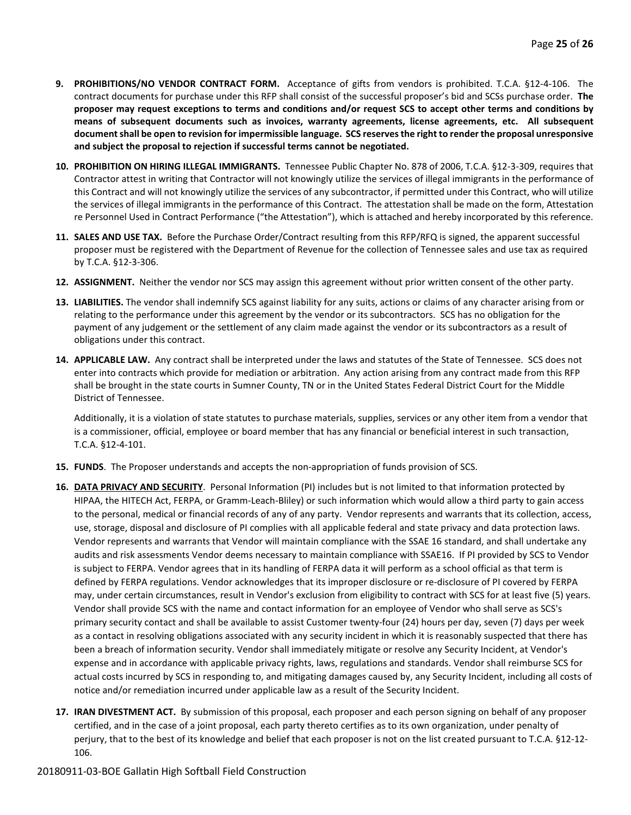- **9. PROHIBITIONS/NO VENDOR CONTRACT FORM.** Acceptance of gifts from vendors is prohibited. T.C.A. §12-4-106. The contract documents for purchase under this RFP shall consist of the successful proposer's bid and SCSs purchase order. **The proposer may request exceptions to terms and conditions and/or request SCS to accept other terms and conditions by means of subsequent documents such as invoices, warranty agreements, license agreements, etc. All subsequent document shall be open to revision for impermissible language. SCS reserves the right to render the proposal unresponsive and subject the proposal to rejection if successful terms cannot be negotiated.**
- **10. PROHIBITION ON HIRING ILLEGAL IMMIGRANTS.** Tennessee Public Chapter No. 878 of 2006, T.C.A. §12-3-309, requires that Contractor attest in writing that Contractor will not knowingly utilize the services of illegal immigrants in the performance of this Contract and will not knowingly utilize the services of any subcontractor, if permitted under this Contract, who will utilize the services of illegal immigrants in the performance of this Contract. The attestation shall be made on the form, Attestation re Personnel Used in Contract Performance ("the Attestation"), which is attached and hereby incorporated by this reference.
- **11. SALES AND USE TAX.** Before the Purchase Order/Contract resulting from this RFP/RFQ is signed, the apparent successful proposer must be registered with the Department of Revenue for the collection of Tennessee sales and use tax as required by T.C.A. §12-3-306.
- **12. ASSIGNMENT.** Neither the vendor nor SCS may assign this agreement without prior written consent of the other party.
- **13. LIABILITIES.** The vendor shall indemnify SCS against liability for any suits, actions or claims of any character arising from or relating to the performance under this agreement by the vendor or its subcontractors. SCS has no obligation for the payment of any judgement or the settlement of any claim made against the vendor or its subcontractors as a result of obligations under this contract.
- **14. APPLICABLE LAW.** Any contract shall be interpreted under the laws and statutes of the State of Tennessee. SCS does not enter into contracts which provide for mediation or arbitration. Any action arising from any contract made from this RFP shall be brought in the state courts in Sumner County, TN or in the United States Federal District Court for the Middle District of Tennessee.

Additionally, it is a violation of state statutes to purchase materials, supplies, services or any other item from a vendor that is a commissioner, official, employee or board member that has any financial or beneficial interest in such transaction, T.C.A. §12-4-101.

- **15. FUNDS**. The Proposer understands and accepts the non-appropriation of funds provision of SCS.
- **16. DATA PRIVACY AND SECURITY**. Personal Information (PI) includes but is not limited to that information protected by HIPAA, the HITECH Act, FERPA, or Gramm-Leach-Bliley) or such information which would allow a third party to gain access to the personal, medical or financial records of any of any party. Vendor represents and warrants that its collection, access, use, storage, disposal and disclosure of PI complies with all applicable federal and state privacy and data protection laws. Vendor represents and warrants that Vendor will maintain compliance with the SSAE 16 standard, and shall undertake any audits and risk assessments Vendor deems necessary to maintain compliance with SSAE16. If PI provided by SCS to Vendor is subject to FERPA. Vendor agrees that in its handling of FERPA data it will perform as a school official as that term is defined by FERPA regulations. Vendor acknowledges that its improper disclosure or re-disclosure of PI covered by FERPA may, under certain circumstances, result in Vendor's exclusion from eligibility to contract with SCS for at least five (5) years. Vendor shall provide SCS with the name and contact information for an employee of Vendor who shall serve as SCS's primary security contact and shall be available to assist Customer twenty-four (24) hours per day, seven (7) days per week as a contact in resolving obligations associated with any security incident in which it is reasonably suspected that there has been a breach of information security. Vendor shall immediately mitigate or resolve any Security Incident, at Vendor's expense and in accordance with applicable privacy rights, laws, regulations and standards. Vendor shall reimburse SCS for actual costs incurred by SCS in responding to, and mitigating damages caused by, any Security Incident, including all costs of notice and/or remediation incurred under applicable law as a result of the Security Incident.
- **17. IRAN DIVESTMENT ACT.** By submission of this proposal, each proposer and each person signing on behalf of any proposer certified, and in the case of a joint proposal, each party thereto certifies as to its own organization, under penalty of perjury, that to the best of its knowledge and belief that each proposer is not on the list created pursuant to T.C.A. §12-12- 106.